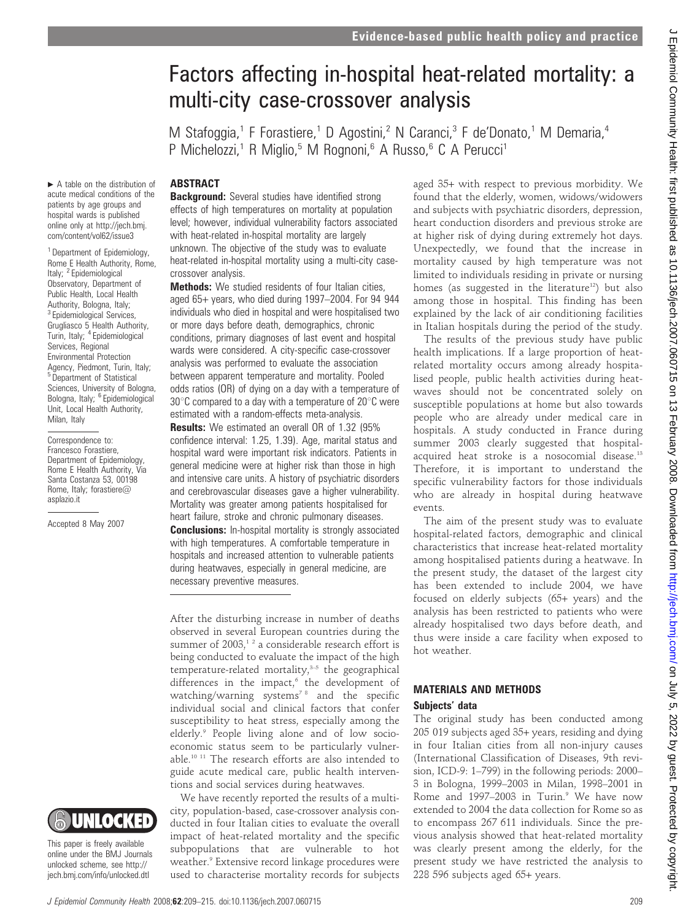# Factors affecting in-hospital heat-related mortality: a multi-city case-crossover analysis

M Stafoggia,<sup>1</sup> F Forastiere,<sup>1</sup> D Agostini,<sup>2</sup> N Caranci,<sup>3</sup> F de'Donato,<sup>1</sup> M Demaria,<sup>4</sup> P Michelozzi,<sup>1</sup> R Miglio,<sup>5</sup> M Rognoni,<sup>6</sup> A Russo,<sup>6</sup> C A Perucci<sup>1</sup>

#### ABSTRACT

**Background:** Several studies have identified strong effects of high temperatures on mortality at population level; however, individual vulnerability factors associated with heat-related in-hospital mortality are largely unknown. The objective of the study was to evaluate heat-related in-hospital mortality using a multi-city casecrossover analysis.

**Methods:** We studied residents of four Italian cities, aged 65+ years, who died during 1997–2004. For 94 944 individuals who died in hospital and were hospitalised two or more days before death, demographics, chronic conditions, primary diagnoses of last event and hospital wards were considered. A city-specific case-crossover analysis was performed to evaluate the association between apparent temperature and mortality. Pooled odds ratios (OR) of dying on a day with a temperature of  $30^{\circ}$ C compared to a day with a temperature of 20 $^{\circ}$ C were estimated with a random-effects meta-analysis.

Results: We estimated an overall OR of 1.32 (95% confidence interval: 1.25, 1.39). Age, marital status and hospital ward were important risk indicators. Patients in general medicine were at higher risk than those in high and intensive care units. A history of psychiatric disorders and cerebrovascular diseases gave a higher vulnerability. Mortality was greater among patients hospitalised for heart failure, stroke and chronic pulmonary diseases. **Conclusions:** In-hospital mortality is strongly associated with high temperatures. A comfortable temperature in hospitals and increased attention to vulnerable patients during heatwaves, especially in general medicine, are necessary preventive measures.

After the disturbing increase in number of deaths observed in several European countries during the summer of  $2003$ ,<sup>12</sup> a considerable research effort is being conducted to evaluate the impact of the high temperature-related mortality, $3-5$  the geographical differences in the impact, $6$  the development of watching/warning systems<sup>78</sup> and the specific individual social and clinical factors that confer susceptibility to heat stress, especially among the elderly.<sup>9</sup> People living alone and of low socioeconomic status seem to be particularly vulnerable.10 11 The research efforts are also intended to guide acute medical care, public health interventions and social services during heatwaves.

We have recently reported the results of a multicity, population-based, case-crossover analysis conducted in four Italian cities to evaluate the overall impact of heat-related mortality and the specific subpopulations that are vulnerable to hot weather.<sup>9</sup> Extensive record linkage procedures were used to characterise mortality records for subjects

aged 35+ with respect to previous morbidity. We found that the elderly, women, widows/widowers and subjects with psychiatric disorders, depression, heart conduction disorders and previous stroke are at higher risk of dying during extremely hot days. Unexpectedly, we found that the increase in mortality caused by high temperature was not limited to individuals residing in private or nursing homes (as suggested in the literature<sup>12</sup>) but also among those in hospital. This finding has been explained by the lack of air conditioning facilities in Italian hospitals during the period of the study.

The results of the previous study have public health implications. If a large proportion of heatrelated mortality occurs among already hospitalised people, public health activities during heatwaves should not be concentrated solely on susceptible populations at home but also towards people who are already under medical care in hospitals. A study conducted in France during summer 2003 clearly suggested that hospitalacquired heat stroke is a nosocomial disease.13 Therefore, it is important to understand the specific vulnerability factors for those individuals who are already in hospital during heatwave events.

The aim of the present study was to evaluate hospital-related factors, demographic and clinical characteristics that increase heat-related mortality among hospitalised patients during a heatwave. In the present study, the dataset of the largest city has been extended to include 2004, we have focused on elderly subjects (65+ years) and the analysis has been restricted to patients who were already hospitalised two days before death, and thus were inside a care facility when exposed to hot weather.

# MATERIALS AND METHODS Subjects' data

The original study has been conducted among 205 019 subjects aged 35+ years, residing and dying in four Italian cities from all non-injury causes (International Classification of Diseases, 9th revision, ICD-9: 1–799) in the following periods: 2000– 3 in Bologna, 1999–2003 in Milan, 1998–2001 in Rome and 1997-2003 in Turin.<sup>9</sup> We have now extended to 2004 the data collection for Rome so as to encompass 267 611 individuals. Since the previous analysis showed that heat-related mortality was clearly present among the elderly, for the present study we have restricted the analysis to 228 596 subjects aged 65+ years.

 $\blacktriangleright$  A table on the distribution of acute medical conditions of the patients by age groups and hospital wards is published online only at http://jech.bmj. com/content/vol62/issue3

<sup>1</sup> Department of Epidemiology, Rome E Health Authority, Rome, Italy; <sup>2</sup> Epidemiological Observatory, Department of Public Health, Local Health Authority, Bologna, Italy; <sup>3</sup> Epidemiological Services, Grugliasco 5 Health Authority, Turin, Italy; <sup>4</sup> Epidemiological Services, Regional Environmental Protection Agency, Piedmont, Turin, Italy; <sup>5</sup> Department of Statistical Sciences, University of Bologna, Bologna, Italy; <sup>6</sup> Epidemiological Unit, Local Health Authority, Milan, Italy

Correspondence to: Francesco Forastiere, Department of Epidemiology, Rome E Health Authority, Via Santa Costanza 53, 00198 Rome, Italy; forastiere@ asplazio.it

Accepted 8 May 2007



This paper is freely available online under the BMJ Journals unlocked scheme, see http:// jech.bmj.com/info/unlocked.dtl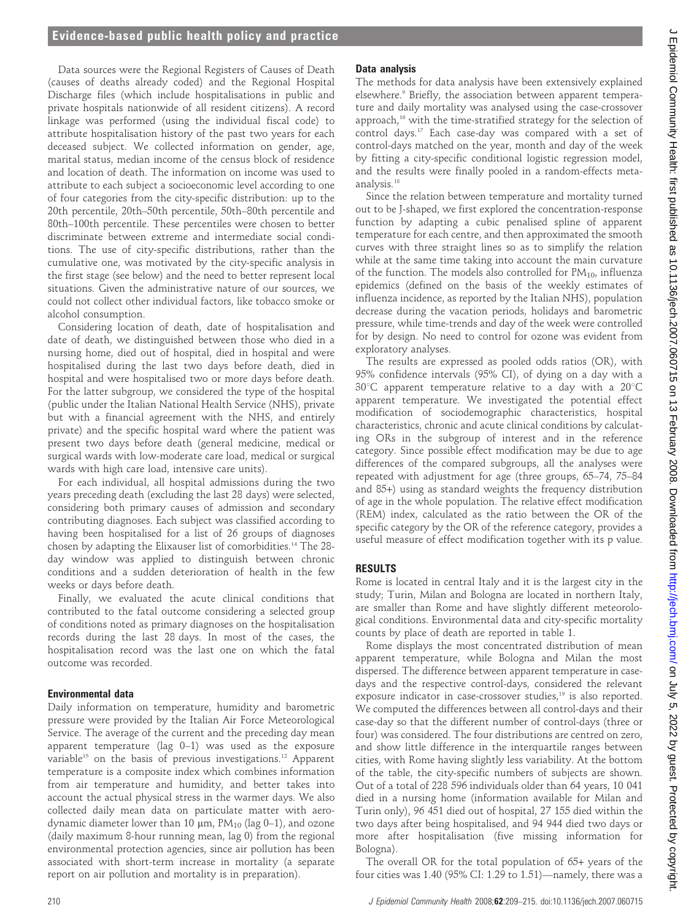# Evidence-based public health policy and practice

Data sources were the Regional Registers of Causes of Death (causes of deaths already coded) and the Regional Hospital Discharge files (which include hospitalisations in public and private hospitals nationwide of all resident citizens). A record linkage was performed (using the individual fiscal code) to attribute hospitalisation history of the past two years for each deceased subject. We collected information on gender, age, marital status, median income of the census block of residence and location of death. The information on income was used to attribute to each subject a socioeconomic level according to one of four categories from the city-specific distribution: up to the 20th percentile, 20th–50th percentile, 50th–80th percentile and 80th–100th percentile. These percentiles were chosen to better discriminate between extreme and intermediate social conditions. The use of city-specific distributions, rather than the cumulative one, was motivated by the city-specific analysis in the first stage (see below) and the need to better represent local situations. Given the administrative nature of our sources, we could not collect other individual factors, like tobacco smoke or alcohol consumption.

Considering location of death, date of hospitalisation and date of death, we distinguished between those who died in a nursing home, died out of hospital, died in hospital and were hospitalised during the last two days before death, died in hospital and were hospitalised two or more days before death. For the latter subgroup, we considered the type of the hospital (public under the Italian National Health Service (NHS), private but with a financial agreement with the NHS, and entirely private) and the specific hospital ward where the patient was present two days before death (general medicine, medical or surgical wards with low-moderate care load, medical or surgical wards with high care load, intensive care units).

For each individual, all hospital admissions during the two years preceding death (excluding the last 28 days) were selected, considering both primary causes of admission and secondary contributing diagnoses. Each subject was classified according to having been hospitalised for a list of 26 groups of diagnoses chosen by adapting the Elixauser list of comorbidities.14 The 28 day window was applied to distinguish between chronic conditions and a sudden deterioration of health in the few weeks or days before death.

Finally, we evaluated the acute clinical conditions that contributed to the fatal outcome considering a selected group of conditions noted as primary diagnoses on the hospitalisation records during the last 28 days. In most of the cases, the hospitalisation record was the last one on which the fatal outcome was recorded.

#### Environmental data

Daily information on temperature, humidity and barometric pressure were provided by the Italian Air Force Meteorological Service. The average of the current and the preceding day mean apparent temperature (lag 0–1) was used as the exposure variable<sup>15</sup> on the basis of previous investigations.<sup>12</sup> Apparent temperature is a composite index which combines information from air temperature and humidity, and better takes into account the actual physical stress in the warmer days. We also collected daily mean data on particulate matter with aerodynamic diameter lower than 10  $\mu$ m, PM<sub>10</sub> (lag 0-1), and ozone (daily maximum 8-hour running mean, lag 0) from the regional environmental protection agencies, since air pollution has been associated with short-term increase in mortality (a separate report on air pollution and mortality is in preparation).

#### Data analysis

The methods for data analysis have been extensively explained elsewhere.<sup>9</sup> Briefly, the association between apparent temperature and daily mortality was analysed using the case-crossover approach,<sup>16</sup> with the time-stratified strategy for the selection of control days.17 Each case-day was compared with a set of control-days matched on the year, month and day of the week by fitting a city-specific conditional logistic regression model, and the results were finally pooled in a random-effects metaanalysis.18

Since the relation between temperature and mortality turned out to be J-shaped, we first explored the concentration-response function by adapting a cubic penalised spline of apparent temperature for each centre, and then approximated the smooth curves with three straight lines so as to simplify the relation while at the same time taking into account the main curvature of the function. The models also controlled for  $PM_{10}$ , influenza epidemics (defined on the basis of the weekly estimates of influenza incidence, as reported by the Italian NHS), population decrease during the vacation periods, holidays and barometric pressure, while time-trends and day of the week were controlled for by design. No need to control for ozone was evident from exploratory analyses.

The results are expressed as pooled odds ratios (OR), with 95% confidence intervals (95% CI), of dying on a day with a  $30^{\circ}$ C apparent temperature relative to a day with a  $20^{\circ}$ C apparent temperature. We investigated the potential effect modification of sociodemographic characteristics, hospital characteristics, chronic and acute clinical conditions by calculating ORs in the subgroup of interest and in the reference category. Since possible effect modification may be due to age differences of the compared subgroups, all the analyses were repeated with adjustment for age (three groups, 65–74, 75–84 and 85+) using as standard weights the frequency distribution of age in the whole population. The relative effect modification (REM) index, calculated as the ratio between the OR of the specific category by the OR of the reference category, provides a useful measure of effect modification together with its p value.

### RESULTS

Rome is located in central Italy and it is the largest city in the study; Turin, Milan and Bologna are located in northern Italy, are smaller than Rome and have slightly different meteorological conditions. Environmental data and city-specific mortality counts by place of death are reported in table 1.

Rome displays the most concentrated distribution of mean apparent temperature, while Bologna and Milan the most dispersed. The difference between apparent temperature in casedays and the respective control-days, considered the relevant exposure indicator in case-crossover studies,<sup>19</sup> is also reported. We computed the differences between all control-days and their case-day so that the different number of control-days (three or four) was considered. The four distributions are centred on zero, and show little difference in the interquartile ranges between cities, with Rome having slightly less variability. At the bottom of the table, the city-specific numbers of subjects are shown. Out of a total of 228 596 individuals older than 64 years, 10 041 died in a nursing home (information available for Milan and Turin only), 96 451 died out of hospital, 27 155 died within the two days after being hospitalised, and 94 944 died two days or more after hospitalisation (five missing information for Bologna).

The overall OR for the total population of 65+ years of the four cities was 1.40 (95% CI: 1.29 to 1.51)—namely, there was a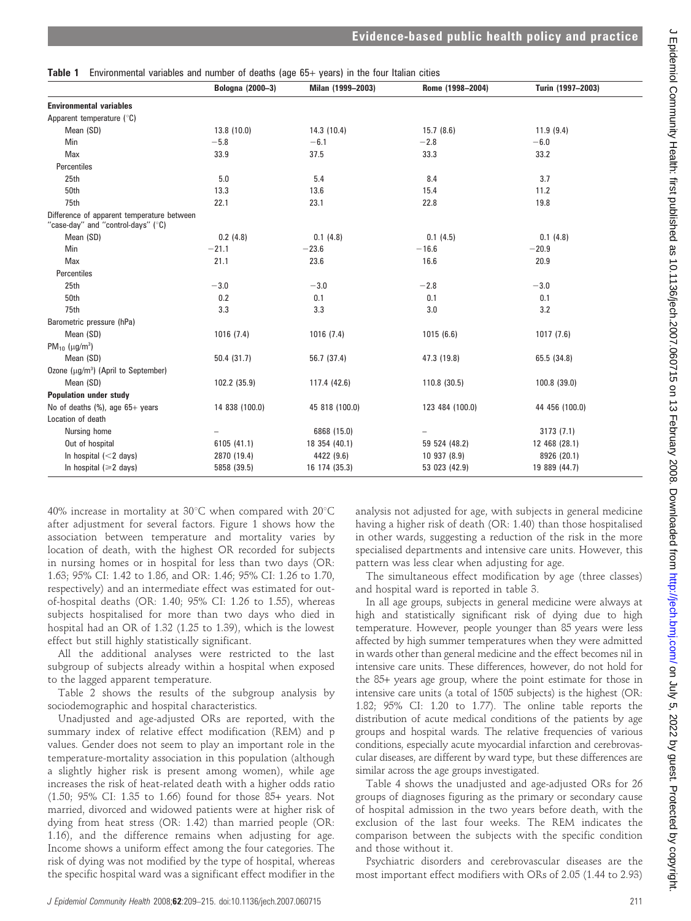| Environmental variables and number of deaths (age 65+ years) in the four Italian cities<br>Table 1 |                  |                   |                  |                   |  |  |
|----------------------------------------------------------------------------------------------------|------------------|-------------------|------------------|-------------------|--|--|
|                                                                                                    | Bologna (2000-3) | Milan (1999-2003) | Rome (1998-2004) | Turin (1997-2003) |  |  |
| <b>Environmental variables</b>                                                                     |                  |                   |                  |                   |  |  |
| Apparent temperature (°C)                                                                          |                  |                   |                  |                   |  |  |
| Mean (SD)                                                                                          | 13.8 (10.0)      | 14.3(10.4)        | 15.7(8.6)        | 11.9(9.4)         |  |  |
| Min                                                                                                | $-5.8$           | $-6.1$            | $-2.8$           | $-6.0$            |  |  |
| Max                                                                                                | 33.9             | 37.5              | 33.3             | 33.2              |  |  |
| Percentiles                                                                                        |                  |                   |                  |                   |  |  |
| 25th                                                                                               | 5.0              | 5.4               | 8.4              | 3.7               |  |  |
| 50th                                                                                               | 13.3             | 13.6              | 15.4             | 11.2              |  |  |
| 75th                                                                                               | 22.1             | 23.1              | 22.8             | 19.8              |  |  |
| Difference of apparent temperature between<br>"case-day" and "control-days" (°C)                   |                  |                   |                  |                   |  |  |
| Mean (SD)                                                                                          | 0.2(4.8)         | 0.1(4.8)          | 0.1(4.5)         | 0.1(4.8)          |  |  |
| Min                                                                                                | $-21.1$          | $-23.6$           | $-16.6$          | $-20.9$           |  |  |
| Max                                                                                                | 21.1             | 23.6              | 16.6             | 20.9              |  |  |
| Percentiles                                                                                        |                  |                   |                  |                   |  |  |
| 25th                                                                                               | $-3.0$           | $-3.0$            | $-2.8$           | $-3.0$            |  |  |
| 50th                                                                                               | 0.2              | 0.1               | 0.1              | 0.1               |  |  |
| 75th                                                                                               | 3.3              | 3.3               | 3.0              | 3.2               |  |  |
| Barometric pressure (hPa)                                                                          |                  |                   |                  |                   |  |  |
| Mean (SD)                                                                                          | 1016(7.4)        | 1016(7.4)         | 1015(6.6)        | 1017(7.6)         |  |  |
| PM <sub>10</sub> ( $\mu$ g/m <sup>3</sup> )                                                        |                  |                   |                  |                   |  |  |
| Mean (SD)                                                                                          | 50.4(31.7)       | 56.7 (37.4)       | 47.3 (19.8)      | 65.5 (34.8)       |  |  |
| Ozone ( $\mu$ g/m <sup>3</sup> ) (April to September)                                              |                  |                   |                  |                   |  |  |
| Mean (SD)                                                                                          | 102.2 (35.9)     | 117.4 (42.6)      | 110.8 (30.5)     | 100.8 (39.0)      |  |  |
| <b>Population under study</b>                                                                      |                  |                   |                  |                   |  |  |
| No of deaths $(\%)$ , age 65+ years                                                                | 14 838 (100.0)   | 45 818 (100.0)    | 123 484 (100.0)  | 44 456 (100.0)    |  |  |
| Location of death                                                                                  |                  |                   |                  |                   |  |  |
| Nursing home                                                                                       |                  | 6868 (15.0)       |                  | 3173(7.1)         |  |  |
| Out of hospital                                                                                    | 6105 (41.1)      | 18 354 (40.1)     | 59 524 (48.2)    | 12 468 (28.1)     |  |  |
| In hospital $(<$ 2 days)                                                                           | 2870 (19.4)      | 4422 (9.6)        | 10 937 (8.9)     | 8926 (20.1)       |  |  |
| In hospital $(\geq 2$ days)                                                                        | 5858 (39.5)      | 16 174 (35.3)     | 53 023 (42.9)    | 19 889 (44.7)     |  |  |

40% increase in mortality at  $30^{\circ}$ C when compared with  $20^{\circ}$ C after adjustment for several factors. Figure 1 shows how the association between temperature and mortality varies by location of death, with the highest OR recorded for subjects in nursing homes or in hospital for less than two days (OR: 1.63; 95% CI: 1.42 to 1.86, and OR: 1.46; 95% CI: 1.26 to 1.70, respectively) and an intermediate effect was estimated for outof-hospital deaths (OR: 1.40; 95% CI: 1.26 to 1.55), whereas subjects hospitalised for more than two days who died in hospital had an OR of 1.32 (1.25 to 1.39), which is the lowest effect but still highly statistically significant.

All the additional analyses were restricted to the last subgroup of subjects already within a hospital when exposed to the lagged apparent temperature.

Table 2 shows the results of the subgroup analysis by sociodemographic and hospital characteristics.

Unadjusted and age-adjusted ORs are reported, with the summary index of relative effect modification (REM) and p values. Gender does not seem to play an important role in the temperature-mortality association in this population (although a slightly higher risk is present among women), while age increases the risk of heat-related death with a higher odds ratio (1.50; 95% CI: 1.35 to 1.66) found for those 85+ years. Not married, divorced and widowed patients were at higher risk of dying from heat stress (OR: 1.42) than married people (OR: 1.16), and the difference remains when adjusting for age. Income shows a uniform effect among the four categories. The risk of dying was not modified by the type of hospital, whereas the specific hospital ward was a significant effect modifier in the analysis not adjusted for age, with subjects in general medicine having a higher risk of death (OR: 1.40) than those hospitalised in other wards, suggesting a reduction of the risk in the more specialised departments and intensive care units. However, this pattern was less clear when adjusting for age.

The simultaneous effect modification by age (three classes) and hospital ward is reported in table 3.

In all age groups, subjects in general medicine were always at high and statistically significant risk of dying due to high temperature. However, people younger than 85 years were less affected by high summer temperatures when they were admitted in wards other than general medicine and the effect becomes nil in intensive care units. These differences, however, do not hold for the 85+ years age group, where the point estimate for those in intensive care units (a total of 1505 subjects) is the highest (OR: 1.82; 95% CI: 1.20 to 1.77). The online table reports the distribution of acute medical conditions of the patients by age groups and hospital wards. The relative frequencies of various conditions, especially acute myocardial infarction and cerebrovascular diseases, are different by ward type, but these differences are similar across the age groups investigated.

Table 4 shows the unadjusted and age-adjusted ORs for 26 groups of diagnoses figuring as the primary or secondary cause of hospital admission in the two years before death, with the exclusion of the last four weeks. The REM indicates the comparison between the subjects with the specific condition and those without it.

Psychiatric disorders and cerebrovascular diseases are the most important effect modifiers with ORs of 2.05 (1.44 to 2.93)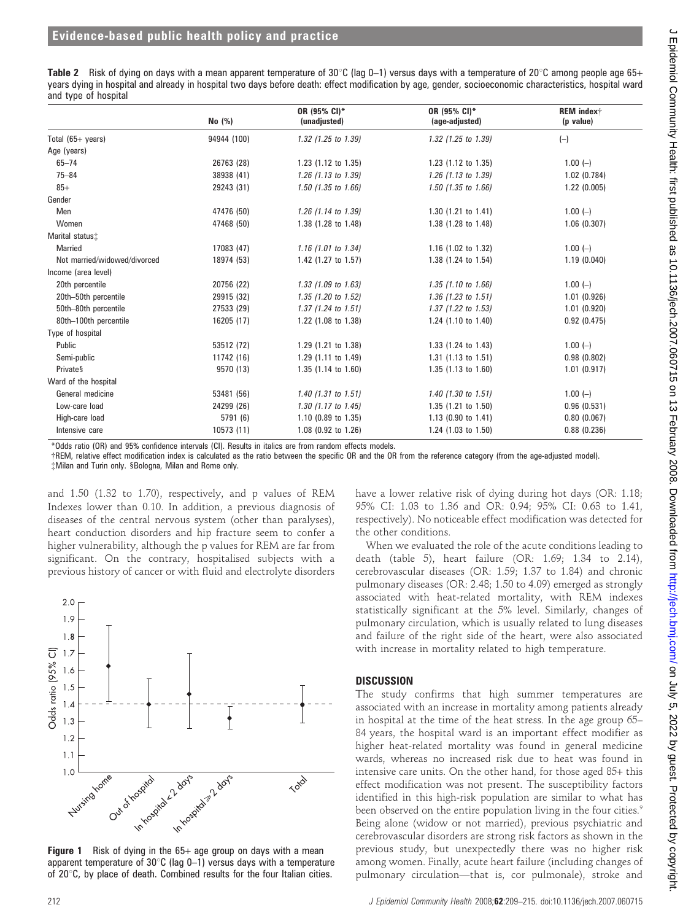Table 2 Risk of dying on days with a mean apparent temperature of 30°C (lag 0–1) versus days with a temperature of 20°C among people age 65+ years dying in hospital and already in hospital two days before death: effect modification by age, gender, socioeconomic characteristics, hospital ward and type of hospital

|                              | $No$ $(\%)$ | OR (95% CI)*<br>(unadjusted) | OR (95% CI)*<br>(age-adjusted) | REM indext<br>(p value) |
|------------------------------|-------------|------------------------------|--------------------------------|-------------------------|
| Total $(65 + \text{years})$  | 94944 (100) | 1.32 (1.25 to 1.39)          | 1.32 (1.25 to 1.39)            | $(-)$                   |
| Age (years)                  |             |                              |                                |                         |
| $65 - 74$                    | 26763 (28)  | 1.23 (1.12 to 1.35)          | 1.23 (1.12 to 1.35)            | $1.00(-)$               |
| $75 - 84$                    | 38938 (41)  | 1.26 (1.13 to 1.39)          | 1.26 (1.13 to 1.39)            | 1.02(0.784)             |
| $85+$                        | 29243 (31)  | 1.50 (1.35 to 1.66)          | 1.50 (1.35 to 1.66)            | 1.22(0.005)             |
| Gender                       |             |                              |                                |                         |
| Men                          | 47476 (50)  | 1.26 (1.14 to 1.39)          | $1.30$ (1.21 to 1.41)          | $1.00(-)$               |
| Women                        | 47468 (50)  | 1.38 (1.28 to 1.48)          | 1.38 (1.28 to 1.48)            | 1.06(0.307)             |
| Marital status <sup>+</sup>  |             |                              |                                |                         |
| Married                      | 17083 (47)  | $1.16$ (1.01 to 1.34)        | 1.16 $(1.02 \text{ to } 1.32)$ | $1.00(-)$               |
| Not married/widowed/divorced | 18974 (53)  | 1.42 (1.27 to 1.57)          | 1.38 (1.24 to 1.54)            | 1.19(0.040)             |
| Income (area level)          |             |                              |                                |                         |
| 20th percentile              | 20756 (22)  | 1.33 (1.09 to 1.63)          | $1.35$ (1.10 to 1.66)          | $1.00(-)$               |
| 20th-50th percentile         | 29915 (32)  | 1.35 (1.20 to 1.52)          | $1.36$ (1.23 to 1.51)          | 1.01(0.926)             |
| 50th-80th percentile         | 27533 (29)  | $1.37$ (1.24 to 1.51)        | $1.37$ (1.22 to 1.53)          | 1.01(0.920)             |
| 80th-100th percentile        | 16205 (17)  | 1.22 (1.08 to 1.38)          | 1.24 (1.10 to 1.40)            | 0.92(0.475)             |
| Type of hospital             |             |                              |                                |                         |
| Public                       | 53512 (72)  | 1.29 (1.21 to 1.38)          | 1.33 (1.24 to 1.43)            | $1.00(-)$               |
| Semi-public                  | 11742 (16)  | 1.29 (1.11 to 1.49)          | 1.31 $(1.13 \text{ to } 1.51)$ | 0.98(0.802)             |
| <b>Privates</b>              | 9570 (13)   | 1.35 (1.14 to 1.60)          | $1.35$ (1.13 to 1.60)          | 1.01(0.917)             |
| Ward of the hospital         |             |                              |                                |                         |
| General medicine             | 53481 (56)  | $1.40$ (1.31 to 1.51)        | $1.40$ (1.30 to 1.51)          | $1.00 (-)$              |
| Low-care load                | 24299 (26)  | $1.30$ (1.17 to 1.45)        | 1.35 (1.21 to 1.50)            | 0.96(0.531)             |
| High-care load               | 5791 (6)    | 1.10 (0.89 to 1.35)          | 1.13 (0.90 to $1.41$ )         | 0.80(0.067)             |
| Intensive care               | 10573 (11)  | 1.08 (0.92 to 1.26)          | 1.24 (1.03 to 1.50)            | 0.88(0.236)             |

\*Odds ratio (OR) and 95% confidence intervals (CI). Results in italics are from random effects models.

{REM, relative effect modification index is calculated as the ratio between the specific OR and the OR from the reference category (from the age-adjusted model).

{Milan and Turin only. 1Bologna, Milan and Rome only.

and 1.50 (1.32 to 1.70), respectively, and p values of REM Indexes lower than 0.10. In addition, a previous diagnosis of diseases of the central nervous system (other than paralyses), heart conduction disorders and hip fracture seem to confer a higher vulnerability, although the p values for REM are far from significant. On the contrary, hospitalised subjects with a previous history of cancer or with fluid and electrolyte disorders



**Figure 1** Risk of dying in the  $65+$  age group on days with a mean apparent temperature of  $30^{\circ}$ C (lag 0-1) versus days with a temperature of 20 $\degree$ C, by place of death. Combined results for the four Italian cities.

have a lower relative risk of dying during hot days (OR: 1.18; 95% CI: 1.03 to 1.36 and OR: 0.94; 95% CI: 0.63 to 1.41, respectively). No noticeable effect modification was detected for the other conditions.

When we evaluated the role of the acute conditions leading to death (table 5), heart failure (OR: 1.69; 1.34 to 2.14), cerebrovascular diseases (OR: 1.59; 1.37 to 1.84) and chronic pulmonary diseases (OR: 2.48; 1.50 to 4.09) emerged as strongly associated with heat-related mortality, with REM indexes statistically significant at the 5% level. Similarly, changes of pulmonary circulation, which is usually related to lung diseases and failure of the right side of the heart, were also associated with increase in mortality related to high temperature.

#### **DISCUSSION**

The study confirms that high summer temperatures are associated with an increase in mortality among patients already in hospital at the time of the heat stress. In the age group 65– 84 years, the hospital ward is an important effect modifier as higher heat-related mortality was found in general medicine wards, whereas no increased risk due to heat was found in intensive care units. On the other hand, for those aged 85+ this effect modification was not present. The susceptibility factors identified in this high-risk population are similar to what has been observed on the entire population living in the four cities.<sup>9</sup> Being alone (widow or not married), previous psychiatric and cerebrovascular disorders are strong risk factors as shown in the previous study, but unexpectedly there was no higher risk among women. Finally, acute heart failure (including changes of pulmonary circulation—that is, cor pulmonale), stroke and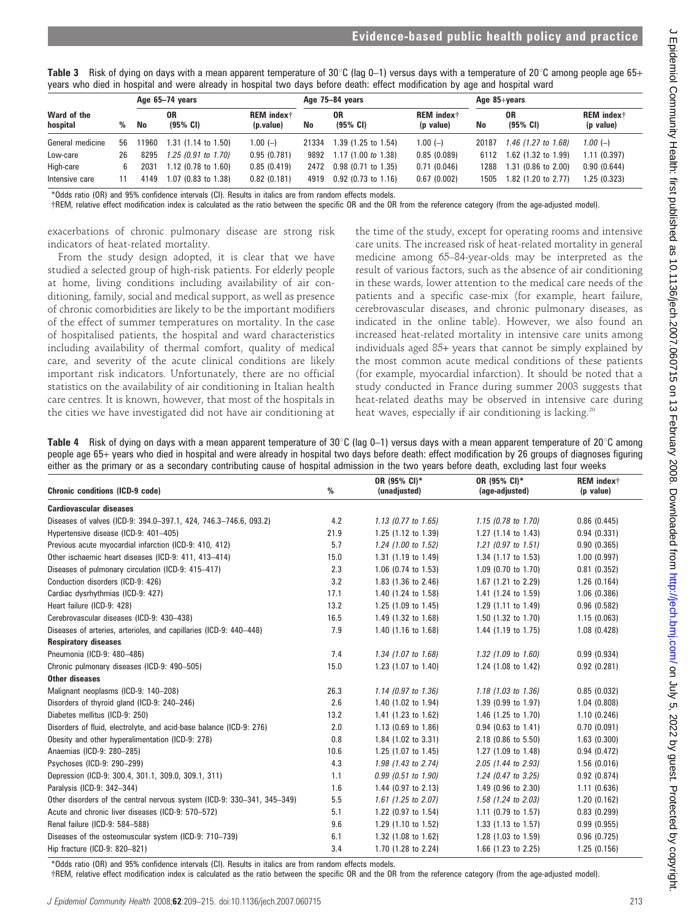|                         | years who died in hospital and were already in hospital two days before death: effect modification by age and hospital ward |       |                             |                                            |       |                            |                                            |       |                           |                                            |  |
|-------------------------|-----------------------------------------------------------------------------------------------------------------------------|-------|-----------------------------|--------------------------------------------|-------|----------------------------|--------------------------------------------|-------|---------------------------|--------------------------------------------|--|
|                         | Age 65-74 years                                                                                                             |       |                             |                                            |       | Age 75-84 years            |                                            |       | Age $85 + \gamma$ ears    |                                            |  |
| Ward of the<br>hospital | %                                                                                                                           | No    | 0R<br>$(95\% \; \text{Cl})$ | <b>REM</b> index <sup>†</sup><br>(p.value) | No    | 0R<br>$(95% \; \text{Cl})$ | <b>REM</b> index <sup>†</sup><br>(p value) | No    | 0R<br>$(95\% \text{ CI})$ | <b>REM</b> index <sup>†</sup><br>(p value) |  |
| General medicine        | 56                                                                                                                          | 11960 | $1.31$ (1.14 to 1.50)       | $1.00 (-)$                                 | 21334 | 1.39 (1.25 to 1.54)        | $1.00(-)$                                  | 20187 | $1.46$ (1.27 to 1.68)     | 1.00 $(-)$                                 |  |
| Low-care                | 26                                                                                                                          | 8295  | $1.25$ (0.91 to 1.70)       | 0.95(0.781)                                | 9892  | 1.17(1.00 to 1.38)         | 0.85(0.089)                                | 6112  | 1.62 (1.32 to 1.99)       | 1.11(0.397)                                |  |
| High-care               |                                                                                                                             | 2031  | $1.12$ (0.78 to $1.60$ )    | 0.85(0.419)                                |       | 2472 0.98 (0.71 to 1.35)   | 0.71(0.046)                                | 1288  | 1.31 (0.86 to 2.00)       | 0.90(0.644)                                |  |
| Intensive care          |                                                                                                                             | 4149  | 1.07 (0.83 to 1.38)         | 0.82(0.181)                                | 4919  | $0.92$ (0.73 to 1.16)      | 0.67(0.002)                                | 1505  | 1.82 (1.20 to 2.77)       | 1.25 (0.323)                               |  |

Table 3 Risk of dying on days with a mean apparent temperature of 30°C (lag 0–1) versus days with a temperature of 20°C among people age 65+ years who died in hospital and were already in hospital two days before death: effect modification by age and hospital ward

\*Odds ratio (OR) and 95% confidence intervals (CI). Results in italics are from random effects models.

{REM, relative effect modification index is calculated as the ratio between the specific OR and the OR from the reference category (from the age-adjusted model).

exacerbations of chronic pulmonary disease are strong risk indicators of heat-related mortality.

From the study design adopted, it is clear that we have studied a selected group of high-risk patients. For elderly people at home, living conditions including availability of air conditioning, family, social and medical support, as well as presence of chronic comorbidities are likely to be the important modifiers of the effect of summer temperatures on mortality. In the case of hospitalised patients, the hospital and ward characteristics including availability of thermal comfort, quality of medical care, and severity of the acute clinical conditions are likely important risk indicators. Unfortunately, there are no official statistics on the availability of air conditioning in Italian health care centres. It is known, however, that most of the hospitals in the cities we have investigated did not have air conditioning at

the time of the study, except for operating rooms and intensive care units. The increased risk of heat-related mortality in general medicine among 65–84-year-olds may be interpreted as the result of various factors, such as the absence of air conditioning in these wards, lower attention to the medical care needs of the patients and a specific case-mix (for example, heart failure, cerebrovascular diseases, and chronic pulmonary diseases, as indicated in the online table). However, we also found an increased heat-related mortality in intensive care units among individuals aged 85+ years that cannot be simply explained by the most common acute medical conditions of these patients (for example, myocardial infarction). It should be noted that a study conducted in France during summer 2003 suggests that heat-related deaths may be observed in intensive care during heat waves, especially if air conditioning is lacking.<sup>20</sup>

Table 4 Risk of dying on days with a mean apparent temperature of 30°C (lag 0–1) versus days with a mean apparent temperature of 20°C among people age 65+ years who died in hospital and were already in hospital two days before death: effect modification by 26 groups of diagnoses figuring either as the primary or as a secondary contributing cause of hospital admission in the two years before death, excluding last four weeks

| <b>Chronic conditions (ICD-9 code)</b>                                  | $\%$ | OR (95% CI)*<br>(unadjusted)   | OR (95% CI)*<br>(age-adjusted) | REM index <sup>†</sup><br>(p value) |
|-------------------------------------------------------------------------|------|--------------------------------|--------------------------------|-------------------------------------|
| <b>Cardiovascular diseases</b>                                          |      |                                |                                |                                     |
| Diseases of valves (ICD-9: 394.0-397.1, 424, 746.3-746.6, 093.2)        | 4.2  | $1.13$ (0.77 to $1.65$ )       | $1.15$ (0.78 to 1.70)          | 0.86(0.445)                         |
| Hypertensive disease (ICD-9: 401-405)                                   | 21.9 | $1.25$ (1.12 to 1.39)          | 1.27 $(1.14 \text{ to } 1.43)$ | 0.94(0.331)                         |
| Previous acute myocardial infarction (ICD-9: 410, 412)                  | 5.7  | 1.24 (1.00 to 1.52)            | $1.21$ (0.97 to $1.51$ )       | 0.90(0.365)                         |
| Other ischaemic heart diseases (ICD-9: 411, 413-414)                    | 15.0 | $1.31$ (1.19 to 1.49)          | 1.34 $(1.17 \text{ to } 1.53)$ | 1.00(0.997)                         |
| Diseases of pulmonary circulation (ICD-9: 415-417)                      | 2.3  | 1.06 (0.74 to 1.53)            | $1.09$ (0.70 to 1.70)          | 0.81(0.352)                         |
| Conduction disorders (ICD-9: 426)                                       | 3.2  | 1.83 (1.36 to 2.46)            | 1.67 (1.21 to 2.29)            | 1.26(0.164)                         |
| Cardiac dysrhythmias (ICD-9: 427)                                       | 17.1 | 1.40 (1.24 to 1.58)            | 1.41 (1.24 to 1.59)            | 1.06(0.386)                         |
| Heart failure (ICD-9: 428)                                              | 13.2 | 1.25 (1.09 to 1.45)            | 1.29 (1.11 to 1.49)            | 0.96(0.582)                         |
| Cerebrovascular diseases (ICD-9: 430-438)                               | 16.5 | 1.49 (1.32 to 1.68)            | 1.50 $(1.32 \text{ to } 1.70)$ | 1.15(0.063)                         |
| Diseases of arteries, arterioles, and capillaries (ICD-9: 440-448)      | 7.9  | 1.40 (1.16 to 1.68)            | 1.44 $(1.19 \text{ to } 1.75)$ | 1.08(0.428)                         |
| <b>Respiratory diseases</b>                                             |      |                                |                                |                                     |
| Pneumonia (ICD-9: 480-486)                                              | 7.4  | 1.34 (1.07 to 1.68)            | 1.32 (1.09 to 1.60)            | 0.99(0.934)                         |
| Chronic pulmonary diseases (ICD-9: 490-505)                             | 15.0 | 1.23 (1.07 to 1.40)            | 1.24 $(1.08 \text{ to } 1.42)$ | 0.92(0.281)                         |
| <b>Other diseases</b>                                                   |      |                                |                                |                                     |
| Malignant neoplasms (ICD-9: 140-208)                                    | 26.3 | 1.14 (0.97 to 1.36)            | $1.18$ (1.03 to 1.36)          | 0.85(0.032)                         |
| Disorders of thyroid gland (ICD-9: 240-246)                             | 2.6  | 1.40 $(1.02 \text{ to } 1.94)$ | $1.39$ (0.99 to 1.97)          | 1.04(0.808)                         |
| Diabetes mellitus (ICD-9: 250)                                          | 13.2 | 1.41 (1.23 to 1.62)            | 1.46 $(1.25 \text{ to } 1.70)$ | 1.10(0.246)                         |
| Disorders of fluid, electrolyte, and acid-base balance (ICD-9: 276)     | 2.0  | $1.13$ (0.69 to 1.86)          | $0.94$ (0.63 to 1.41)          | 0.70(0.091)                         |
| Obesity and other hyperalimentation (ICD-9: 278)                        | 0.8  | 1.84 (1.02 to 3.31)            | $2.18$ (0.86 to 5.50)          | 1.63(0.300)                         |
| Anaemias (ICD-9: 280-285)                                               | 10.6 | 1.25 (1.07 to 1.45)            | 1.27 $(1.09 \text{ to } 1.48)$ | 0.94(0.472)                         |
| Psychoses (ICD-9: 290-299)                                              | 4.3  | 1.98 (1.43 to 2.74)            | 2.05 (1.44 to 2.93)            | 1.56(0.016)                         |
| Depression (ICD-9: 300.4, 301.1, 309.0, 309.1, 311)                     | 1.1  | $0.99$ (0.51 to 1.90)          | 1.24 (0.47 to 3.25)            | 0.92(0.874)                         |
| Paralysis (ICD-9: 342-344)                                              | 1.6  | $1.44$ (0.97 to 2.13)          | 1.49 (0.96 to 2.30)            | 1.11(0.636)                         |
| Other disorders of the central nervous system (ICD-9: 330-341, 345-349) | 5.5  | $1.61$ (1.25 to 2.07)          | 1.58 (1.24 to 2.03)            | 1.20(0.162)                         |
| Acute and chronic liver diseases (ICD-9: 570-572)                       | 5.1  | 1.22 (0.97 to 1.54)            | 1.11 (0.79 to 1.57)            | 0.83(0.299)                         |
| Renal failure (ICD-9: 584-588)                                          | 9.6  | 1.29 (1.10 to 1.52)            | 1.33 $(1.13 \text{ to } 1.57)$ | 0.99(0.955)                         |
| Diseases of the osteomuscular system (ICD-9: 710-739)                   | 6.1  | 1.32 (1.08 to 1.62)            | 1.28 $(1.03 \text{ to } 1.59)$ | 0.96(0.725)                         |
| Hip fracture (ICD-9: 820-821)                                           | 3.4  | 1.70 (1.28 to 2.24)            | 1.66 (1.23 to 2.25)            | 1.25(0.156)                         |

\*Odds ratio (OR) and 95% confidence intervals (CI). Results in italics are from random effects models.

{REM, relative effect modification index is calculated as the ratio between the specific OR and the OR from the reference category (from the age-adjusted model).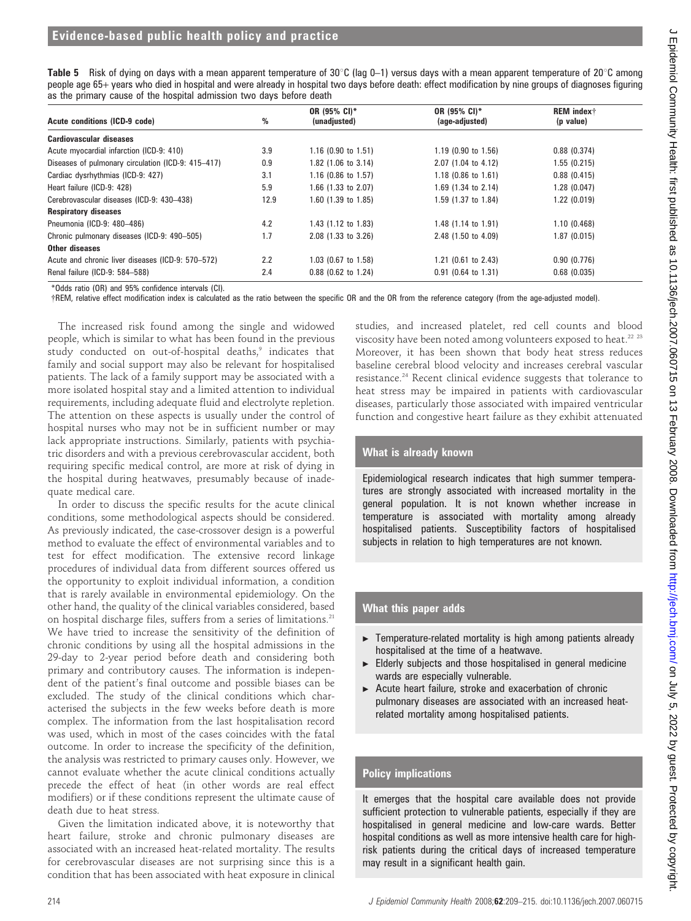| <b>Table 5</b> Risk of dying on days with a mean apparent temperature of 30°C (lag 0–1) versus days with a mean apparent temperature of 20°C among     |  |
|--------------------------------------------------------------------------------------------------------------------------------------------------------|--|
| people age 65+ years who died in hospital and were already in hospital two days before death: effect modification by nine groups of diagnoses figuring |  |
| as the primary cause of the hospital admission two days before death                                                                                   |  |

|                                                    |      | OR (95% CI)*          | OR (95% CI)*          | <b>REM</b> index <sup>†</sup> |
|----------------------------------------------------|------|-----------------------|-----------------------|-------------------------------|
| Acute conditions (ICD-9 code)                      | %    | (unadjusted)          | (age-adjusted)        | (p value)                     |
| Cardiovascular diseases                            |      |                       |                       |                               |
| Acute myocardial infarction (ICD-9: 410)           | 3.9  | $1.16$ (0.90 to 1.51) | $1.19$ (0.90 to 1.56) | 0.88(0.374)                   |
| Diseases of pulmonary circulation (ICD-9: 415–417) | 0.9  | $1.82$ (1.06 to 3.14) | 2.07 (1.04 to 4.12)   | 1.55(0.215)                   |
| Cardiac dysrhythmias (ICD-9: 427)                  | 3.1  | $1.16$ (0.86 to 1.57) | $1.18$ (0.86 to 1.61) | 0.88(0.415)                   |
| Heart failure (ICD-9: 428)                         | 5.9  | 1.66 $(1.33$ to 2.07) | 1.69 (1.34 to 2.14)   | 1.28(0.047)                   |
| Cerebrovascular diseases (ICD-9: 430-438)          | 12.9 | $1.60$ (1.39 to 1.85) | 1.59 (1.37 to 1.84)   | 1.22(0.019)                   |
| <b>Respiratory diseases</b>                        |      |                       |                       |                               |
| Pneumonia (ICD-9: 480-486)                         | 4.2  | 1.43 (1.12 to 1.83)   | 1.48 (1.14 to 1.91)   | 1.10(0.468)                   |
| Chronic pulmonary diseases (ICD-9: 490-505)        | 1.7  | 2.08 (1.33 to 3.26)   | 2.48 (1.50 to 4.09)   | 1.87(0.015)                   |
| Other diseases                                     |      |                       |                       |                               |
| Acute and chronic liver diseases (ICD-9: 570–572)  | 2.2  | 1.03 (0.67 to 1.58)   | 1.21 (0.61 to 2.43)   | 0.90(0.776)                   |
| Renal failure (ICD-9: 584-588)                     | 2.4  | $0.88$ (0.62 to 1.24) | $0.91$ (0.64 to 1.31) | 0.68(0.035)                   |

\*Odds ratio (OR) and 95% confidence intervals (CI).

{REM, relative effect modification index is calculated as the ratio between the specific OR and the OR from the reference category (from the age-adjusted model).

The increased risk found among the single and widowed people, which is similar to what has been found in the previous study conducted on out-of-hospital deaths,<sup>9</sup> indicates that family and social support may also be relevant for hospitalised patients. The lack of a family support may be associated with a more isolated hospital stay and a limited attention to individual requirements, including adequate fluid and electrolyte repletion. The attention on these aspects is usually under the control of hospital nurses who may not be in sufficient number or may lack appropriate instructions. Similarly, patients with psychiatric disorders and with a previous cerebrovascular accident, both requiring specific medical control, are more at risk of dying in the hospital during heatwaves, presumably because of inadequate medical care.

In order to discuss the specific results for the acute clinical conditions, some methodological aspects should be considered. As previously indicated, the case-crossover design is a powerful method to evaluate the effect of environmental variables and to test for effect modification. The extensive record linkage procedures of individual data from different sources offered us the opportunity to exploit individual information, a condition that is rarely available in environmental epidemiology. On the other hand, the quality of the clinical variables considered, based on hospital discharge files, suffers from a series of limitations.<sup>21</sup> We have tried to increase the sensitivity of the definition of chronic conditions by using all the hospital admissions in the 29-day to 2-year period before death and considering both primary and contributory causes. The information is independent of the patient's final outcome and possible biases can be excluded. The study of the clinical conditions which characterised the subjects in the few weeks before death is more complex. The information from the last hospitalisation record was used, which in most of the cases coincides with the fatal outcome. In order to increase the specificity of the definition, the analysis was restricted to primary causes only. However, we cannot evaluate whether the acute clinical conditions actually precede the effect of heat (in other words are real effect modifiers) or if these conditions represent the ultimate cause of death due to heat stress.

Given the limitation indicated above, it is noteworthy that heart failure, stroke and chronic pulmonary diseases are associated with an increased heat-related mortality. The results for cerebrovascular diseases are not surprising since this is a condition that has been associated with heat exposure in clinical studies, and increased platelet, red cell counts and blood viscosity have been noted among volunteers exposed to heat.<sup>22</sup> <sup>23</sup> Moreover, it has been shown that body heat stress reduces baseline cerebral blood velocity and increases cerebral vascular resistance.24 Recent clinical evidence suggests that tolerance to heat stress may be impaired in patients with cardiovascular diseases, particularly those associated with impaired ventricular function and congestive heart failure as they exhibit attenuated

# What is already known

Epidemiological research indicates that high summer temperatures are strongly associated with increased mortality in the general population. It is not known whether increase in temperature is associated with mortality among already hospitalised patients. Susceptibility factors of hospitalised subjects in relation to high temperatures are not known.

### What this paper adds

- Temperature-related mortality is high among patients already hospitalised at the time of a heatwave.
- Elderly subjects and those hospitalised in general medicine wards are especially vulnerable.
- Acute heart failure, stroke and exacerbation of chronic pulmonary diseases are associated with an increased heatrelated mortality among hospitalised patients.

# Policy implications

It emerges that the hospital care available does not provide sufficient protection to vulnerable patients, especially if they are hospitalised in general medicine and low-care wards. Better hospital conditions as well as more intensive health care for highrisk patients during the critical days of increased temperature may result in a significant health gain.